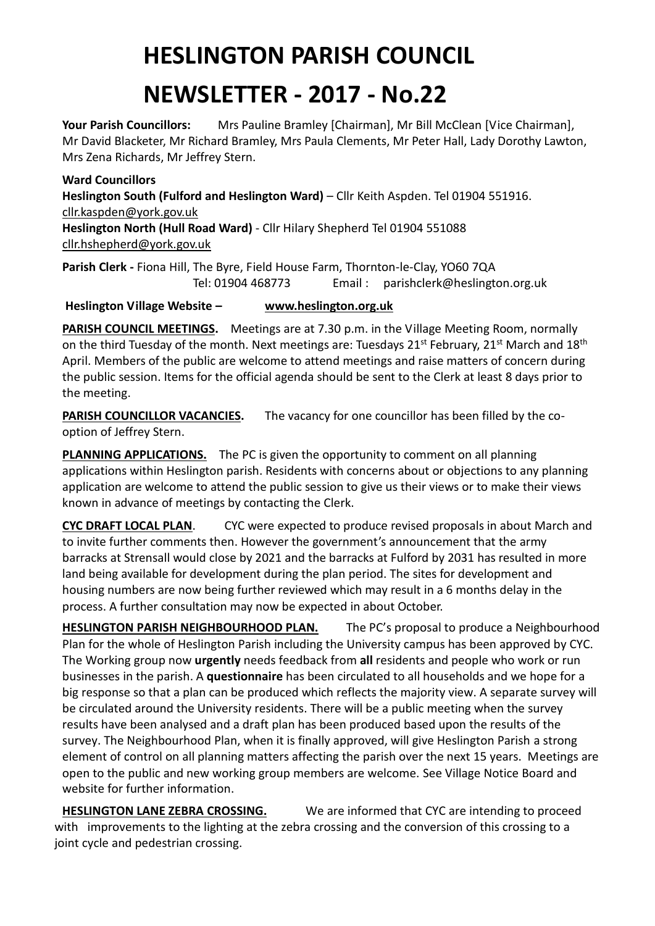## **HESLINGTON PARISH COUNCIL**

## **NEWSLETTER - 2017 - No.22**

Your Parish Councillors: Mrs Pauline Bramley [Chairman], Mr Bill McClean [Vice Chairman], Mr David Blacketer, Mr Richard Bramley, Mrs Paula Clements, Mr Peter Hall, Lady Dorothy Lawton, Mrs Zena Richards, Mr Jeffrey Stern.

## **Ward Councillors**

**Heslington South (Fulford and Heslington Ward)** – Cllr Keith Aspden. Tel 01904 551916. [cllr.kaspden@york.gov.uk](mailto:cllr.kaspden@york.gov.uk)

**Heslington North (Hull Road Ward)** - Cllr Hilary Shepherd Tel 01904 551088 [cllr.hshepherd@york.gov.uk](mailto:cllr.hshepherd@york.gov.uk)

**Parish Clerk -** Fiona Hill, The Byre, Field House Farm, Thornton-le-Clay, YO60 7QA Tel: 01904 468773 Email : parishclerk@heslington.org.uk

## **Heslington Village Website – [www.heslington.org.uk](http://www.heslington.org.uk/)**

**PARISH COUNCIL MEETINGS.** Meetings are at 7.30 p.m. in the Village Meeting Room, normally on the third Tuesday of the month. Next meetings are: Tuesdays 21<sup>st</sup> February, 21<sup>st</sup> March and 18<sup>th</sup> April. Members of the public are welcome to attend meetings and raise matters of concern during the public session. Items for the official agenda should be sent to the Clerk at least 8 days prior to the meeting.

**PARISH COUNCILLOR VACANCIES.** The vacancy for one councillor has been filled by the cooption of Jeffrey Stern.

**PLANNING APPLICATIONS.** The PC is given the opportunity to comment on all planning applications within Heslington parish. Residents with concerns about or objections to any planning application are welcome to attend the public session to give us their views or to make their views known in advance of meetings by contacting the Clerk.

**CYC DRAFT LOCAL PLAN**. CYC were expected to produce revised proposals in about March and to invite further comments then. However the government's announcement that the army barracks at Strensall would close by 2021 and the barracks at Fulford by 2031 has resulted in more land being available for development during the plan period. The sites for development and housing numbers are now being further reviewed which may result in a 6 months delay in the process. A further consultation may now be expected in about October.

**HESLINGTON PARISH NEIGHBOURHOOD PLAN.** The PC's proposal to produce a Neighbourhood Plan for the whole of Heslington Parish including the University campus has been approved by CYC. The Working group now **urgently** needs feedback from **all** residents and people who work or run businesses in the parish. A **questionnaire** has been circulated to all households and we hope for a big response so that a plan can be produced which reflects the majority view. A separate survey will be circulated around the University residents. There will be a public meeting when the survey results have been analysed and a draft plan has been produced based upon the results of the survey. The Neighbourhood Plan, when it is finally approved, will give Heslington Parish a strong element of control on all planning matters affecting the parish over the next 15 years. Meetings are open to the public and new working group members are welcome. See Village Notice Board and website for further information.

**HESLINGTON LANE ZEBRA CROSSING.** We are informed that CYC are intending to proceed with improvements to the lighting at the zebra crossing and the conversion of this crossing to a joint cycle and pedestrian crossing.